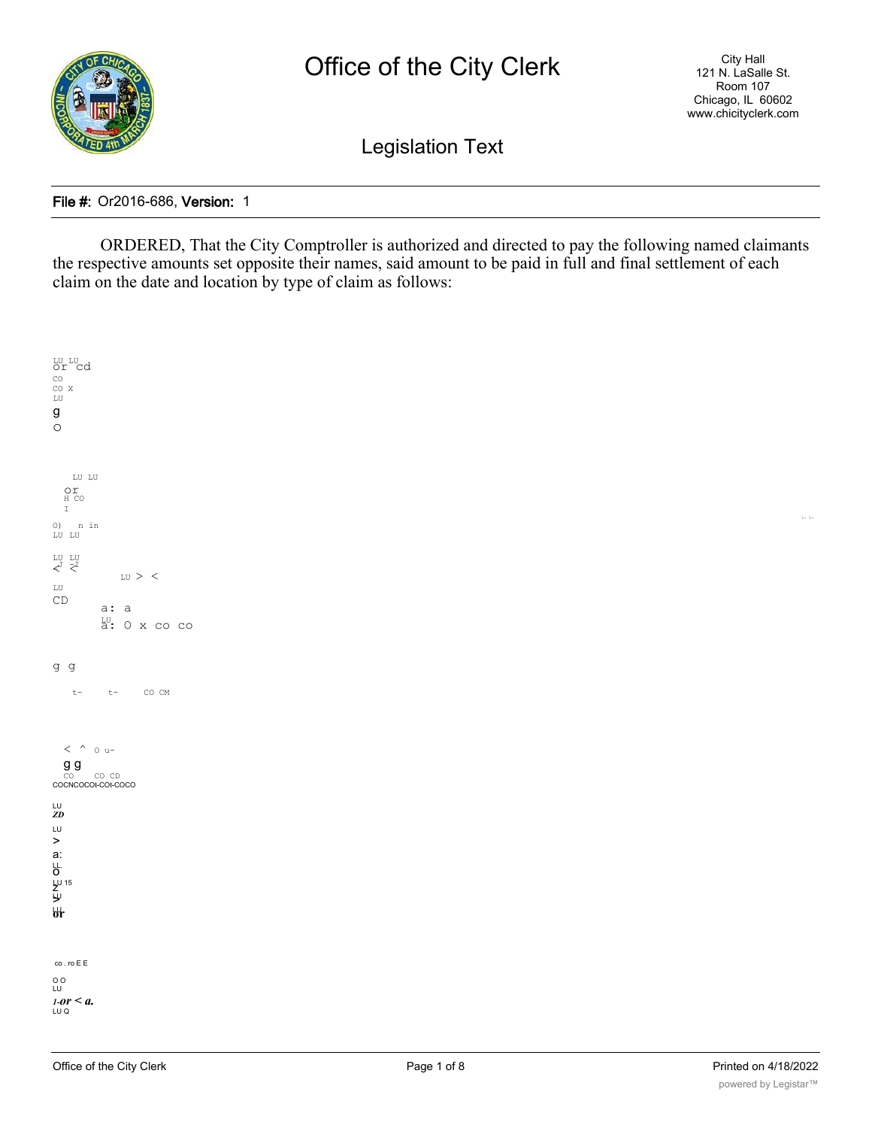

**Legislation Text** 

#### File #: Or2016-686, Version: 1

ORDERED, That the City Comptroller is authorized and directed to pay the following named claimants the respective amounts set opposite their names, said amount to be paid in full and final settlement of each claim on the date and location by type of claim as follows:

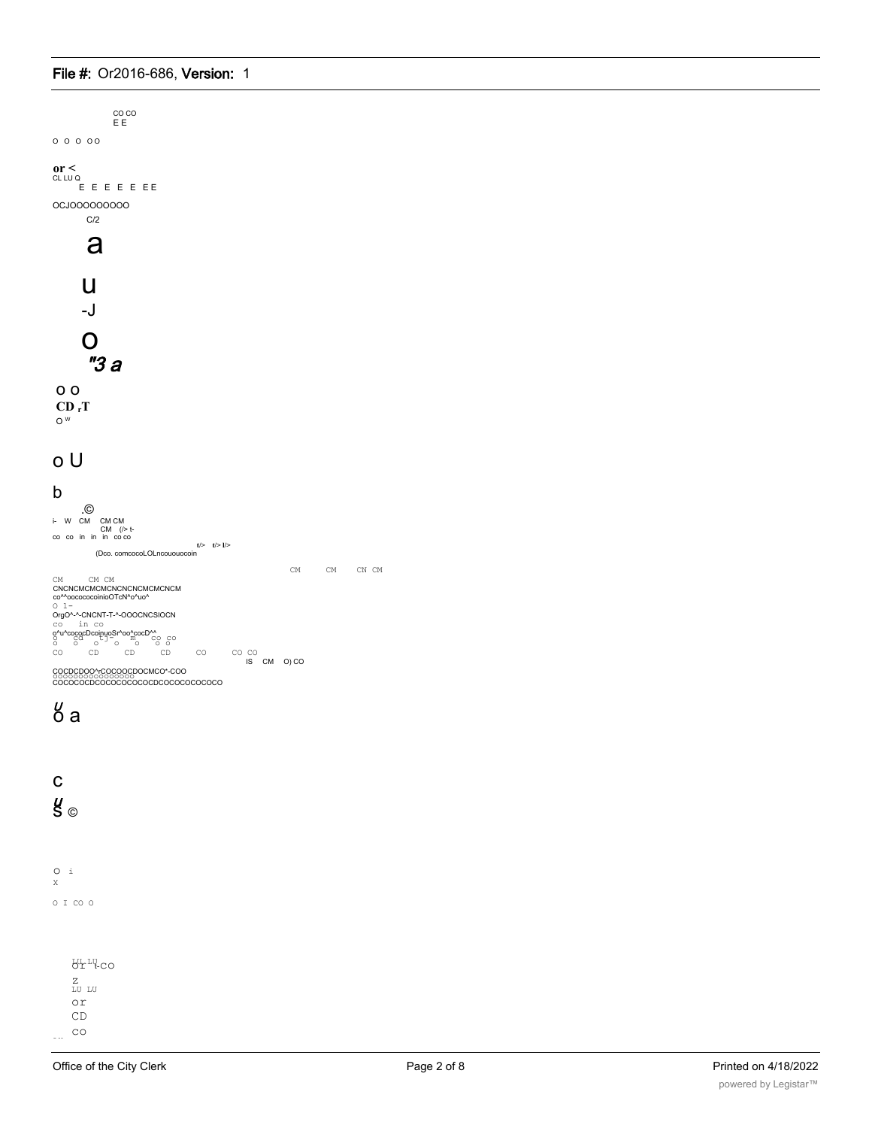



 $O_i$ i  $\bar{\rm X}$  $O$  I CO  $O$ 

> $b^{\text{UL}}_{\text{L}}$  i-co  $\mathop{\Sigma}\limits_{\text{LU}}$   $\mathop{\rm LU}\limits$  $\circ r$  $CD$  $_{\rm CO}$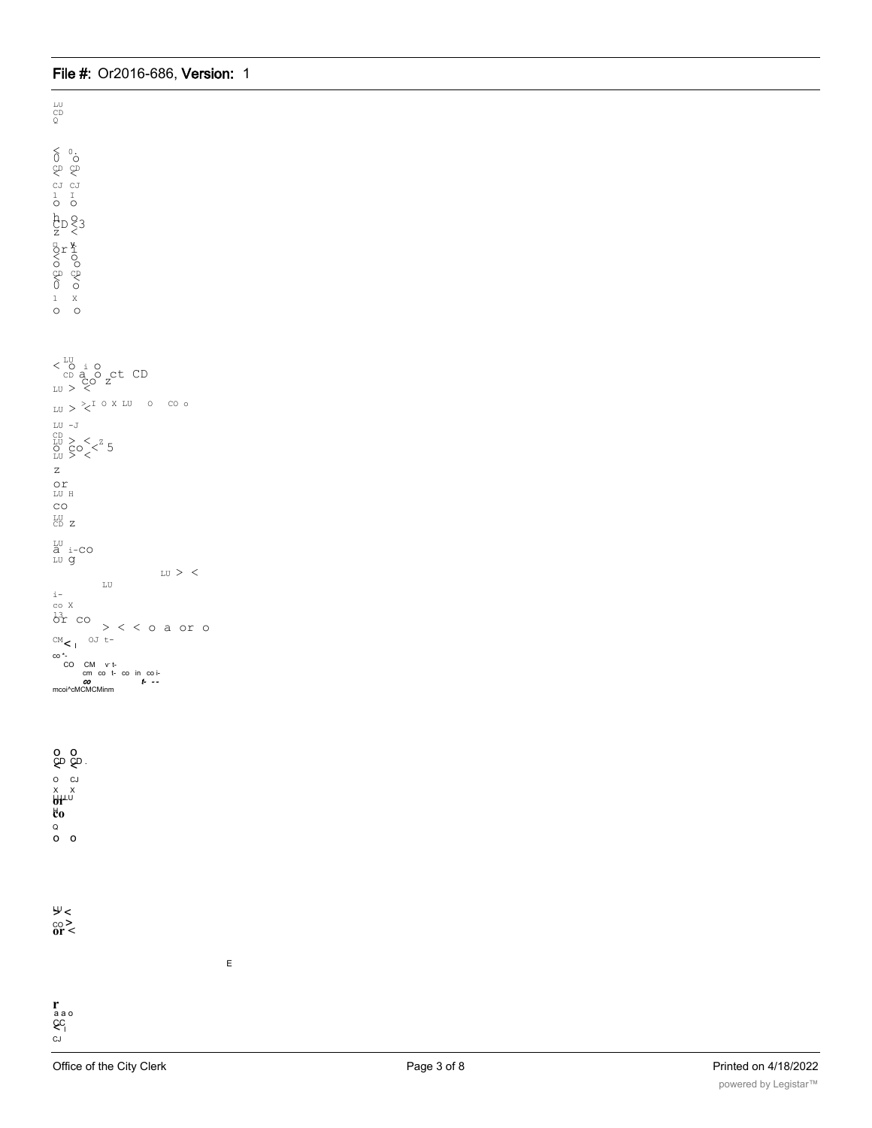| $\begin{array}{c} \text{LU} \\ \text{CD} \\ \text{Q} \end{array}$                                                                                                                                                                                                                                                                                                                                                                     |  |
|---------------------------------------------------------------------------------------------------------------------------------------------------------------------------------------------------------------------------------------------------------------------------------------------------------------------------------------------------------------------------------------------------------------------------------------|--|
| o = agove napora <gao<br>o = agove x<br/>o = agove napora</gao<br>                                                                                                                                                                                                                                                                                                                                                                    |  |
| $\begin{array}{l} < \!\!\!\!\begin{array}{c} \text{C1} \\ \text{C1} \\ \text{C2} \\ \text{C3} \\ \text{C4} \end{array} \\ \text{C5} \\ \text{C6} \\ \text{C7} \\ \text{C8} \\ \text{C9} \\ \text{C0} \\ \text{C1} \\ \text{C1} \\ \text{C2} \\ \text{C3} \\ \text{C4} \\ \text{C5} \\ \text{C6} \\ \text{C7} \\ \text{C8} \\ \text{C9} \\ \text{C0} \\ \text{C0} \\ \text{C1} \\ \text{C1} \\ \text{C2} \\ \text{C1} \\ \text{C2} \\$ |  |
|                                                                                                                                                                                                                                                                                                                                                                                                                                       |  |
| $\begin{array}{l} \begin{array}{c} \text{no} \\ \text{on} \\ \text{on} \\ \text{on} \\ \text{on} \end{array} \end{array} < \begin{array}{c} \text{no} \\ \text{on} \\ \text{on} \\ \text{on} \\ \text{on} \end{array} \end{array}$                                                                                                                                                                                                    |  |
| $\overline{\mathbf{z}}$<br>$\mathop{\rm O}\nolimits_\mathrm{LU}$ H<br>$\circ$<br>$_{\rm CD}^{\rm LU}$ z                                                                                                                                                                                                                                                                                                                               |  |
| $\overset{\text{LU}}{\mathtt{a}}$ i-co<br>LU > 0                                                                                                                                                                                                                                                                                                                                                                                      |  |
| $\mathbb{L} \mathbb{U}$<br>$\dot{\mathtt{i}}$ –<br>co X                                                                                                                                                                                                                                                                                                                                                                               |  |
| $\begin{array}{ccc}\n\text{or}&\text{co}&\text{or}&\text{co}&\text{or}&\text{co}&\text{or}\\ \text{or}&\text{co}&\text{or}&\text{co}&\text{or}&\text{co}&\text{or}\\ \text{or}&\text{co}&\text{or}&\text{co}&\text{or}&\text{co}&\text{or}\\ \end{array}$                                                                                                                                                                             |  |
|                                                                                                                                                                                                                                                                                                                                                                                                                                       |  |
|                                                                                                                                                                                                                                                                                                                                                                                                                                       |  |
| ၀ ၀<br>၉၀ ၉၈                                                                                                                                                                                                                                                                                                                                                                                                                          |  |
| $\frac{1}{2}$<br>$\frac{1}{2}$<br>$\frac{1}{2}$<br>$\frac{1}{2}$<br>$\frac{1}{2}$<br>$\frac{1}{2}$<br>$\frac{1}{2}$<br>$\frac{1}{2}$<br>$\frac{1}{2}$<br>$\frac{1}{2}$<br>$\frac{1}{2}$<br>$\frac{1}{2}$<br>$\frac{1}{2}$<br>$\frac{1}{2}$<br>$\frac{1}{2}$<br>$\frac{1}{2}$<br>$\frac{1}{2}$<br>$\frac{1}{2}$<br>$\frac{1}{2}$<br>$\frac{1}{2}$<br>                                                                                  |  |
|                                                                                                                                                                                                                                                                                                                                                                                                                                       |  |
|                                                                                                                                                                                                                                                                                                                                                                                                                                       |  |
| $\frac{9}{100}$<br>$\leq$                                                                                                                                                                                                                                                                                                                                                                                                             |  |
| $\mathsf E$                                                                                                                                                                                                                                                                                                                                                                                                                           |  |
|                                                                                                                                                                                                                                                                                                                                                                                                                                       |  |
| $\frac{r}{\alpha}$ a o                                                                                                                                                                                                                                                                                                                                                                                                                |  |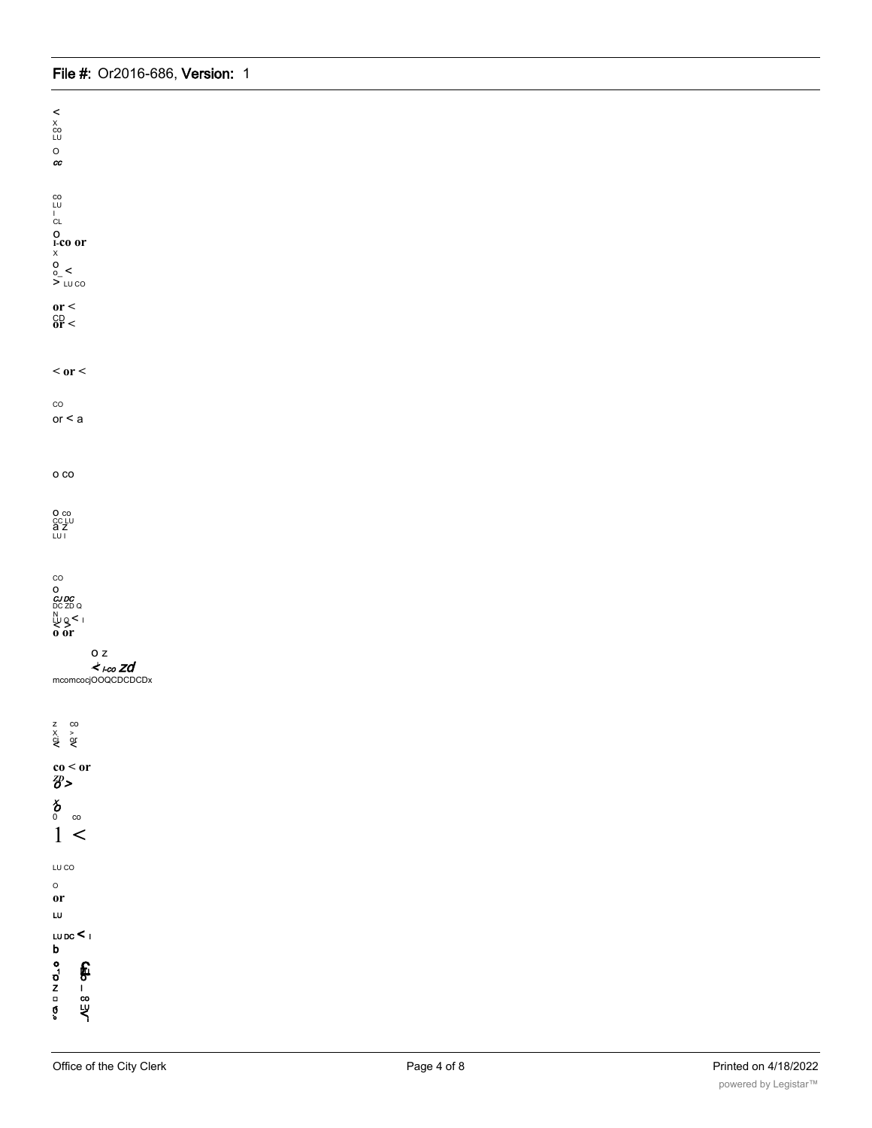| $\frac{1}{25}$                                                                                                                                                                                                                                       |  |
|------------------------------------------------------------------------------------------------------------------------------------------------------------------------------------------------------------------------------------------------------|--|
| $\circ$                                                                                                                                                                                                                                              |  |
| $_{cc}$                                                                                                                                                                                                                                              |  |
|                                                                                                                                                                                                                                                      |  |
| $\begin{array}{c} {\rm co} \\ {\rm LU} \\ {\rm CL} \end{array}$                                                                                                                                                                                      |  |
|                                                                                                                                                                                                                                                      |  |
| $_{1-C0}^{0}$ or                                                                                                                                                                                                                                     |  |
|                                                                                                                                                                                                                                                      |  |
|                                                                                                                                                                                                                                                      |  |
| $\begin{array}{c}\n 0 \\  0 \\  \hline\n 0\n \end{array}$                                                                                                                                                                                            |  |
|                                                                                                                                                                                                                                                      |  |
| or <<br>$_{0r}^{CD}$ <                                                                                                                                                                                                                               |  |
|                                                                                                                                                                                                                                                      |  |
|                                                                                                                                                                                                                                                      |  |
| $<$ or $<$                                                                                                                                                                                                                                           |  |
|                                                                                                                                                                                                                                                      |  |
| $_{\rm CO}$                                                                                                                                                                                                                                          |  |
| or $\leq a$                                                                                                                                                                                                                                          |  |
|                                                                                                                                                                                                                                                      |  |
|                                                                                                                                                                                                                                                      |  |
| 0 <sub>co</sub>                                                                                                                                                                                                                                      |  |
|                                                                                                                                                                                                                                                      |  |
|                                                                                                                                                                                                                                                      |  |
| $\begin{array}{c} 0 & \text{co} \\ \text{CCLU} \\ a & \text{Z} \\ \text{LU I} \end{array}$                                                                                                                                                           |  |
|                                                                                                                                                                                                                                                      |  |
|                                                                                                                                                                                                                                                      |  |
|                                                                                                                                                                                                                                                      |  |
|                                                                                                                                                                                                                                                      |  |
|                                                                                                                                                                                                                                                      |  |
| $\frac{\text{C}}{\text{D}}$<br>$\frac{\text{C}}{\text{D}}$<br>$\frac{\text{C}}{\text{D}}$<br>$\frac{\text{C}}{\text{D}}$<br>$\frac{\text{C}}{\text{D}}$<br>$\frac{\text{C}}{\text{D}}$<br>$\frac{\text{C}}{\text{D}}$<br>$\frac{\text{C}}{\text{D}}$ |  |
|                                                                                                                                                                                                                                                      |  |
| $\mathsf{o}\; \mathsf{z}$                                                                                                                                                                                                                            |  |
| $\leftarrow_{\textit{I-co}}\textit{zd}$ mcomcocjOOQCDCDCDx                                                                                                                                                                                           |  |
|                                                                                                                                                                                                                                                      |  |
|                                                                                                                                                                                                                                                      |  |
| z co                                                                                                                                                                                                                                                 |  |
| ्<br>१<br>१<br>१                                                                                                                                                                                                                                     |  |
|                                                                                                                                                                                                                                                      |  |
| $\frac{\cos 60}{\cos 60}$                                                                                                                                                                                                                            |  |
|                                                                                                                                                                                                                                                      |  |
|                                                                                                                                                                                                                                                      |  |
| $\frac{8}{1}$ $\approx$                                                                                                                                                                                                                              |  |
|                                                                                                                                                                                                                                                      |  |
|                                                                                                                                                                                                                                                      |  |
|                                                                                                                                                                                                                                                      |  |
| $L\cup$ CO                                                                                                                                                                                                                                           |  |
| $\circ$<br>$\mathbf{or}$                                                                                                                                                                                                                             |  |
| ${\sf L}{\sf U}$                                                                                                                                                                                                                                     |  |
|                                                                                                                                                                                                                                                      |  |
|                                                                                                                                                                                                                                                      |  |
|                                                                                                                                                                                                                                                      |  |
|                                                                                                                                                                                                                                                      |  |
|                                                                                                                                                                                                                                                      |  |
| $V = 8 - 67$<br>$V = 8 - 67$<br>$45 - 8 = 7$                                                                                                                                                                                                         |  |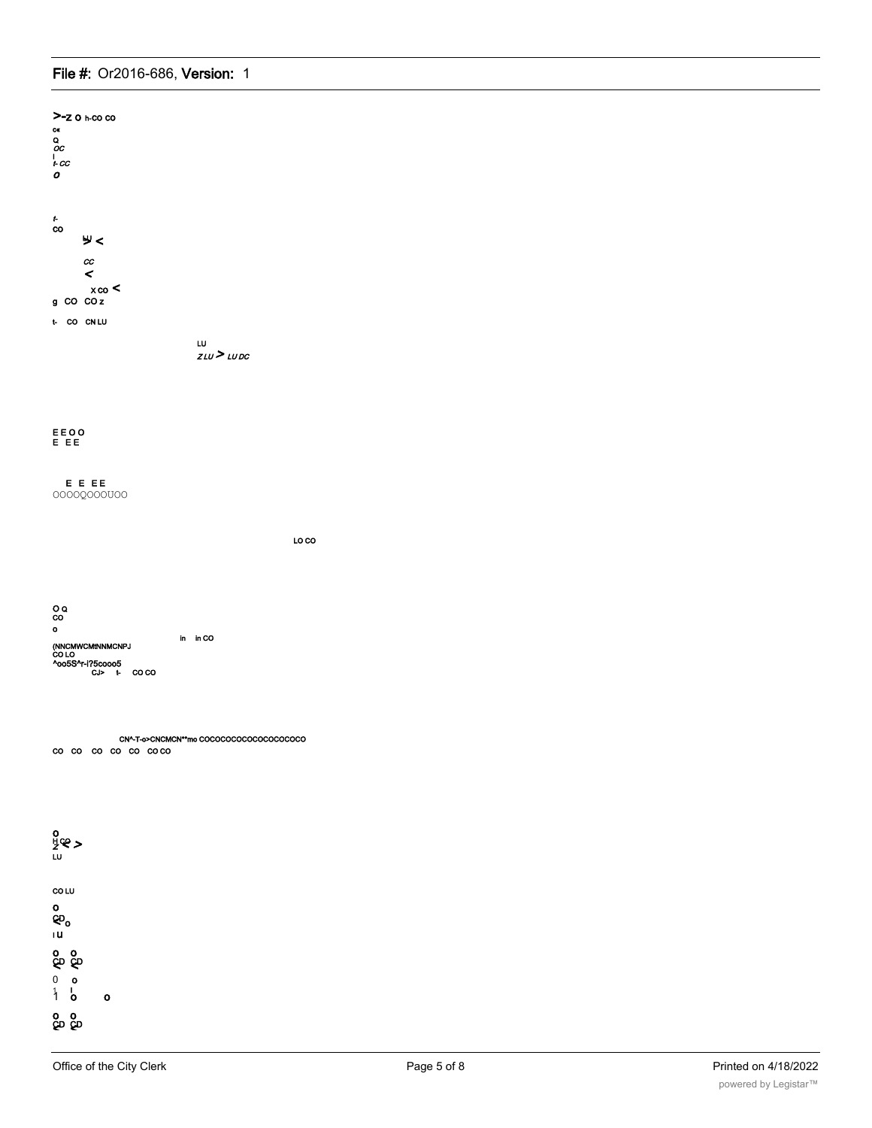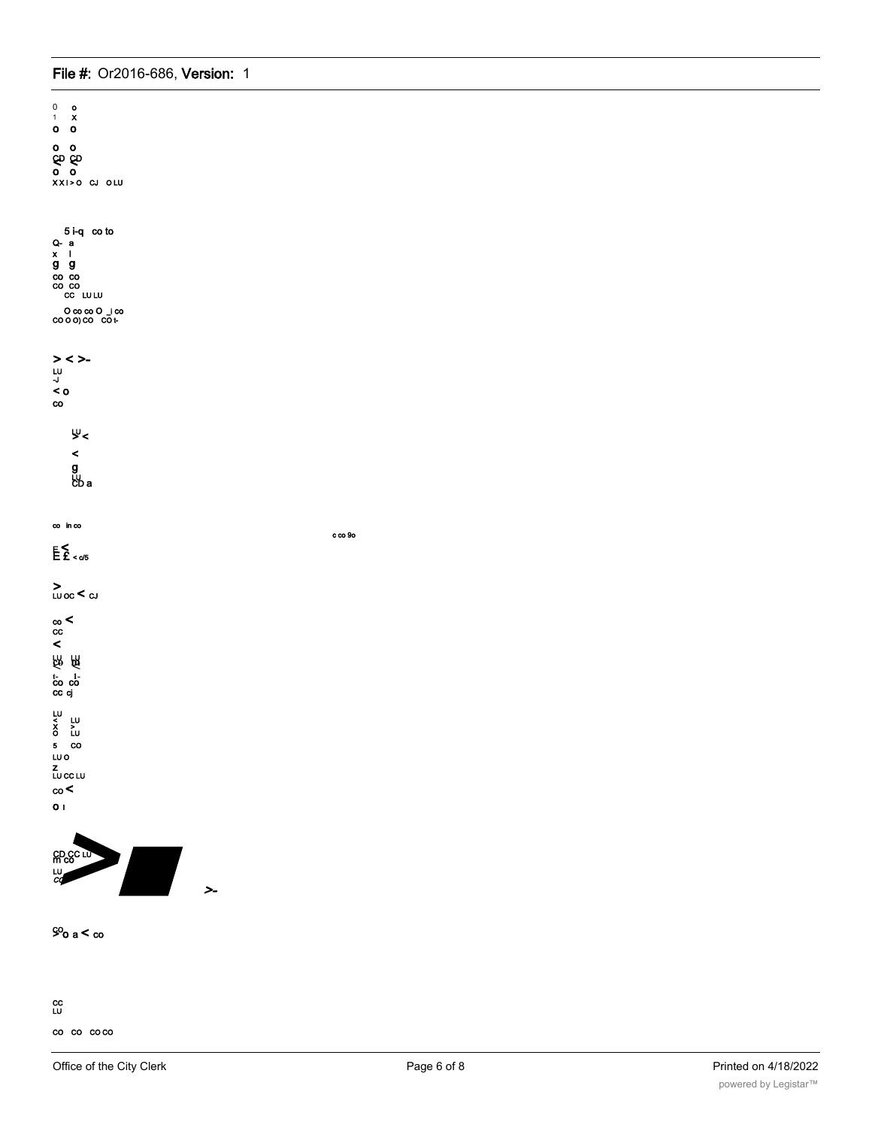| $0$ o<br>$\mathbf{x}$<br>1<br>$0$ 0                                                                                  |         |
|----------------------------------------------------------------------------------------------------------------------|---------|
| $0$ 0<br>ဖြစ်<br>ဖြစ်<br>XXI>0 CJ OLU                                                                                |         |
| 5i-q co to<br>$Q - a$<br>$\mathbf{x} - \mathbf{I}$<br>$g$ $g$<br>co co<br>$\overline{co}$ $\overline{co}$<br>CC LULU |         |
| $>$ < >-<br>$\mathsf{L}^{\mathsf{U}}_{\mathsf{L}}$<br>$\leq$ 0<br>$_{\rm co}$                                        |         |
| y٧<br>$\,<$<br>g<br>Cb a                                                                                             |         |
|                                                                                                                      |         |
| $\infty$ in $\infty$<br>$E_{\epsilon \sim 6}$                                                                        | c co 9o |
| 200000                                                                                                               |         |
| $_{\rm cc}^{\rm co}$<br>$\,<$                                                                                        |         |
| 8 8년<br>8년<br>8월 14일                                                                                                 |         |
| Luo<br>Z<br>LuccLu<br>$\infty$<br>$\bullet$                                                                          |         |

 $\frac{60}{30}$ a < co

# $_{\textrm{\tiny{LU}}}^{\textrm{\tiny{CC}}}$

 $\cos$  co  $\cos$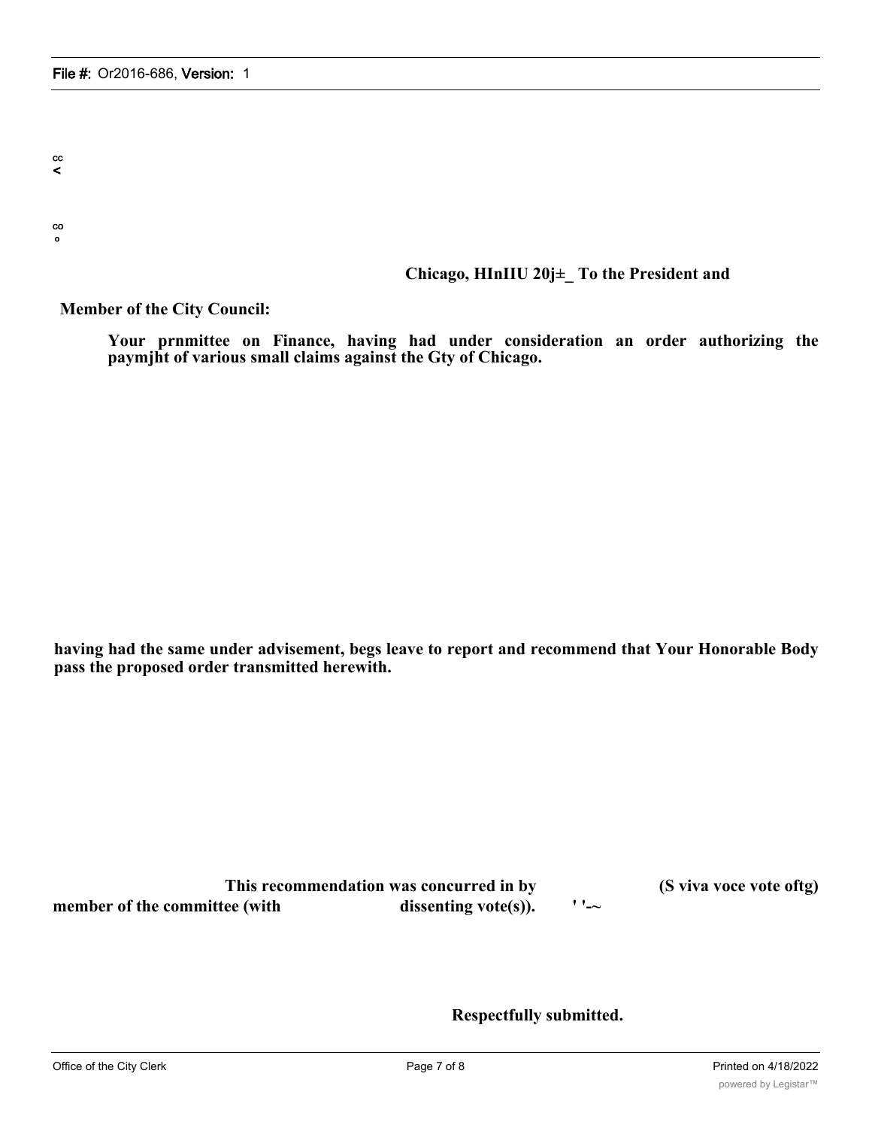**CC**  $\prec$ 

CO o

## **Chicago, HInIIU 20j±\_ To the President and**

**Member of the City Council:**

**Your prnmittee on Finance, having had under consideration an order authorizing the paymjht of various small claims against the Gty of Chicago.**

**having had the same under advisement, begs leave to report and recommend that Your Honorable Body pass the proposed order transmitted herewith.**

| This recommendation was concurred in by |                      | (S viva voce vote oftg)   |  |
|-----------------------------------------|----------------------|---------------------------|--|
| member of the committee (with           | dissenting vote(s)). | $\mathbf{v}_{\mathbf{v}}$ |  |

**Respectfully submitted.**